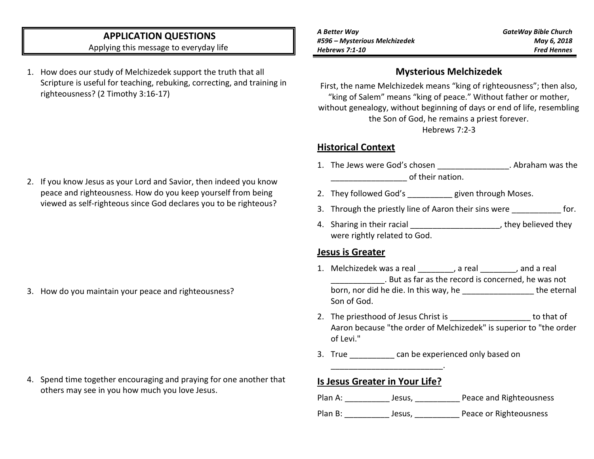# **APPLICATION QUESTIONS**

Applying this message to everyday life

1. How does our study of Melchizedek support the truth that all Scripture is useful for teaching, rebuking, correcting, and training in righteousness? (2 Timothy 3:16-17)

2. If you know Jesus as your Lord and Savior, then indeed you know peace and righteousness. How do you keep yourself from being viewed as self-righteous since God declares you to be righteous?

3. How do you maintain your peace and righteousness?

4. Spend time together encouraging and praying for one another that others may see in you how much you love Jesus.

# **Mysterious Melchizedek**

First, the name Melchizedek means "king of righteousness"; then also, "king of Salem" means "king of peace." Without father or mother, without genealogy, without beginning of days or end of life, resembling the Son of God, he remains a priest forever. Hebrews 7:2-3

### **Historical Context**

- 1. The Jews were God's chosen **the computer of the Contract Contract** 2. Abraham was the  $\alpha$  of their nation.
- 2. They followed God's \_\_\_\_\_\_\_\_\_ given through Moses.
- 3. Through the priestly line of Aaron their sins were **the contact of the strate** for.
- 4. Sharing in their racial \_\_\_\_\_\_\_\_\_\_\_\_\_\_\_\_\_\_\_\_\_\_\_, they believed they were rightly related to God.

#### **Jesus is Greater**

- 1. Melchizedek was a real \_\_\_\_\_\_\_\_, a real \_\_\_\_\_\_\_\_, and a real \_\_\_\_\_\_\_\_\_\_\_\_. But as far as the record is concerned, he was not born, nor did he die. In this way, he \_\_\_\_\_\_\_\_\_\_\_\_\_\_\_\_\_\_\_\_\_ the eternal Son of God.
- 2. The priesthood of Jesus Christ is \_\_\_\_\_\_\_\_\_\_\_\_\_\_\_\_\_\_\_\_\_ to that of Aaron because "the order of Melchizedek" is superior to "the order of Levi."
- 3. True can be experienced only based on

## **Is Jesus Greater in Your Life?**

\_\_\_\_\_\_\_\_\_\_\_\_\_\_\_\_\_\_\_\_\_\_\_\_\_.

| Plan A: | Jesus, | Peace and Righteousness |
|---------|--------|-------------------------|
| Plan B: | Jesus, | Peace or Righteousness  |